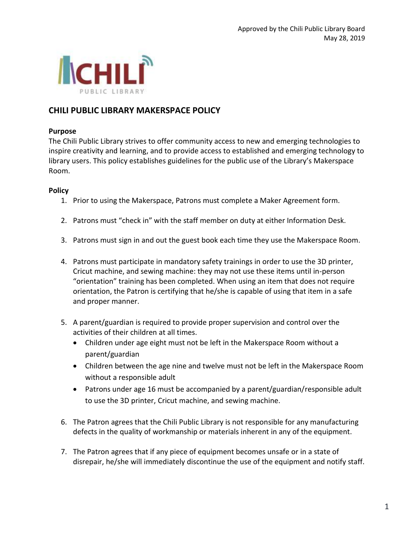

## **CHILI PUBLIC LIBRARY MAKERSPACE POLICY**

## **Purpose**

The Chili Public Library strives to offer community access to new and emerging technologies to inspire creativity and learning, and to provide access to established and emerging technology to library users. This policy establishes guidelines for the public use of the Library's Makerspace Room.

## **Policy**

- 1. Prior to using the Makerspace, Patrons must complete a Maker Agreement form.
- 2. Patrons must "check in" with the staff member on duty at either Information Desk.
- 3. Patrons must sign in and out the guest book each time they use the Makerspace Room.
- 4. Patrons must participate in mandatory safety trainings in order to use the 3D printer, Cricut machine, and sewing machine: they may not use these items until in-person "orientation" training has been completed. When using an item that does not require orientation, the Patron is certifying that he/she is capable of using that item in a safe and proper manner.
- 5. A parent/guardian is required to provide proper supervision and control over the activities of their children at all times.
	- Children under age eight must not be left in the Makerspace Room without a parent/guardian
	- Children between the age nine and twelve must not be left in the Makerspace Room without a responsible adult
	- Patrons under age 16 must be accompanied by a parent/guardian/responsible adult to use the 3D printer, Cricut machine, and sewing machine.
- 6. The Patron agrees that the Chili Public Library is not responsible for any manufacturing defects in the quality of workmanship or materials inherent in any of the equipment.
- 7. The Patron agrees that if any piece of equipment becomes unsafe or in a state of disrepair, he/she will immediately discontinue the use of the equipment and notify staff.